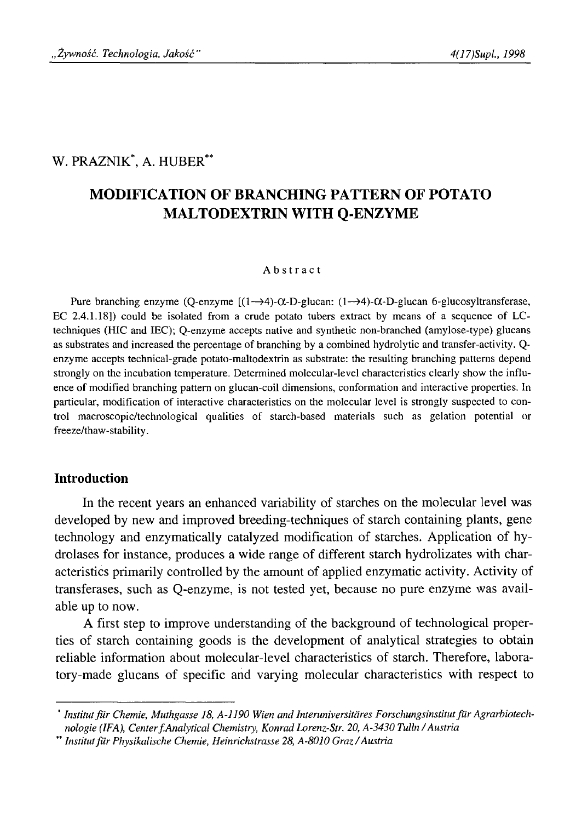## W. PRAZNIK\*, A. HUBER\*\*

# **MODIFICATION OF BRANCHING PATTERN OF POTATO MALTODEXTRIN WITH Q-ENZYME**

#### **Abstract**

Pure branching enzyme (Q-enzyme  $[(1 \rightarrow 4)$ - $\alpha$ -D-glucan:  $(1 \rightarrow 4)$ - $\alpha$ -D-glucan 6-glucosyltransferase, EC 2.4.1.18]) could be isolated from a crude potato tubers extract by means of a sequence of LCtechniques (HIC and IEC); Q-enzyme accepts native and synthetic non-branched (amylose-type) glucans as substrates and increased the percentage of branching by a combined hydrolytic and transfer-activity. Qenzyme accepts technical-grade potato-maltodextrin as substrate: the resulting branching patterns depend strongly on the incubation temperature. Determined molecular-level characteristics clearly show the influence of modified branching pattern on glucan-coil dimensions, conformation and interactive properties. In particular, modification of interactive characteristics on the molecular level is strongly suspected to control macroscopic/technological qualities of starch-based materials such as gelation potential or freeze/thaw-stability.

## **Introduction**

In the recent years an enhanced variability of starches on the molecular level was developed by new and improved breeding-techniques of starch containing plants, gene technology and enzymatically catalyzed modification of starches. Application of hydrolases for instance, produces a wide range of different starch hydrolizates with characteristics primarily controlled by the amount of applied enzymatic activity. Activity of transferases, such as Q-enzyme, is not tested yet, because no pure enzyme was available up to now.

A first step to improve understanding of the background of technological properties of starch containing goods is the development of analytical strategies to obtain reliable information about molecular-level characteristics of starch. Therefore, laboratory-made glucans of specific and varying molecular characteristics with respect to

<sup>\*</sup> *Inštitút fiir Chemie, Muthgasse 18, A-1190 Wien and Interuniversitäres Forschungsinstitut fur Agrarbiotechnologie (IFA), Center f.Analytical Chemistry, Konrad Lorenz-Str. 20, A-3430 Tulin / Austria*

<sup>\*&#</sup>x27; *Inštitút fiir Physikalische Chemie, Heinrichstrasse 28, A-8010 Graz/ Austria*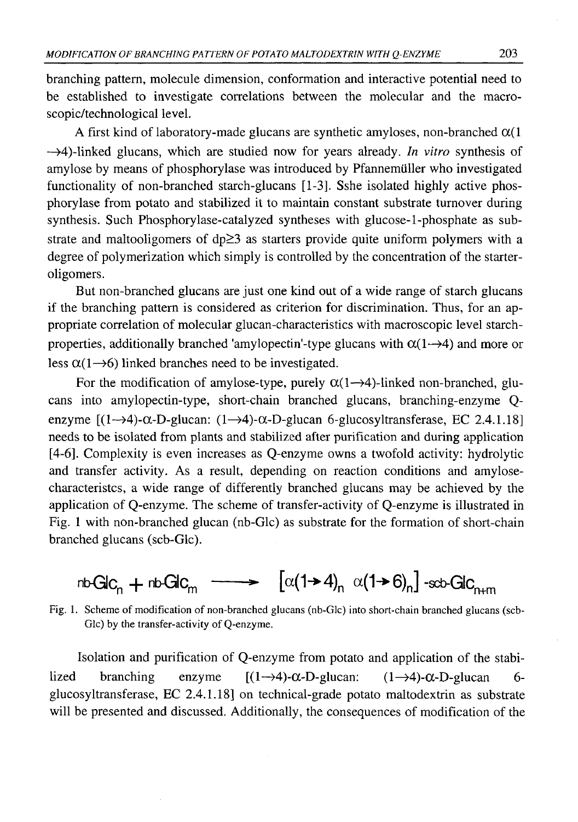branching pattern, molecule dimension, conformation and interactive potential need to be established to investigate correlations between the molecular and the macroscopic/technological level.

A first kind of laboratory-made glucans are synthetic amyloses, non-branched  $\alpha(1)$ —>4)-linked glucans, which are studied now for years already. *In vitro* synthesis of amylose by means of phosphorylase was introduced by Pfannemiiller who investigated functionality of non-branched starch-glucans [1-3]. Sshe isolated highly active phosphorylase from potato and stabilized it to maintain constant substrate turnover during synthesis. Such Phosphorylase-catalyzed syntheses with glucose-1-phosphate as substrate and maltooligomers of  $dp \geq 3$  as starters provide quite uniform polymers with a degree of polymerization which simply is controlled by the concentration of the starteroligomers.

But non-branched glucans are just one kind out of a wide range of starch glucans if the branching pattern is considered as criterion for discrimination. Thus, for an appropriate correlation of molecular glucan-characteristics with macroscopic level starchproperties, additionally branched 'amylopectin'-type glucans with  $\alpha(1\rightarrow4)$  and more or less  $\alpha(1\rightarrow6)$  linked branches need to be investigated.

For the modification of amy lose-type, purely  $\alpha(1 \rightarrow 4)$ -linked non-branched, glucans into amylopectin-type, short-chain branched glucans, branching-enzyme Qenzyme  $[(1\rightarrow4)\cdot\alpha$ -D-glucan:  $(1\rightarrow4)\cdot\alpha$ -D-glucan 6-glucosyltransferase, EC 2.4.1.18] needs to be isolated from plants and stabilized after purification and during application [4-6]. Complexity is even increases as Q-enzyme owns a twofold activity: hydrolytic and transfer activity. As a result, depending on reaction conditions and amylosecharacteristcs, a wide range of differently branched glucans may be achieved by the application of Q-enzyme. The scheme of transfer-activity of Q-enzyme is illustrated in Fig. 1 with non-branched glucan (nb-Glc) as substrate for the formation of short-chain branched glucans (scb-Glc).

 $n\text{b-Glc}_{n}$  +  $n\text{b-Glc}_{m}$   $\longrightarrow$   $\left[\alpha(1\text{+}4)_{n} \alpha(1\text{+}6)_{n}\right]$  -scb-GlC<sub>n+m</sub>

Fig. 1. Scheme of modification of non-branched glucans (nb-Glc) into short-chain branched glucans (scb-Glc) by the transfer-activity of Q-enzyme.

Isolation and purification of Q-enzyme from potato and application of the stabilized branching enzyme  $[(1\rightarrow4)-\alpha-D-g]u$ can:  $(1\rightarrow4)-\alpha-D-g]u$ can 6glucosyltransferase, EC 2.4.1.18] on technical-grade potato maltodextrin as substrate will be presented and discussed. Additionally, the consequences of modification of the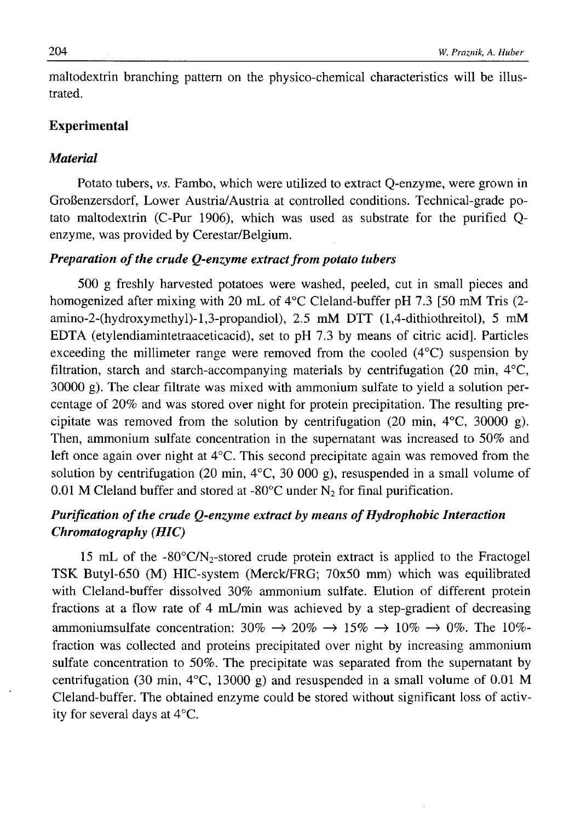maltodextrin branching pattern on the physico-chemical characteristics will be illustrated.

### **Experimental**

### *Material*

Potato tubers, vs. Fambo, which were utilized to extract Q-enzyme, were grown in GroBenzersdorf, Lower Austria/Austria at controlled conditions. Technical-grade potato maltodextrin (C-Pur 1906), which was used as substrate for the purified Qenzyme, was provided by Cerestar/Belgium.

## *Preparation of the crude Q-enzyme extract from potato tubers*

500 g freshly harvested potatoes were washed, peeled, cut in small pieces and homogenized after mixing with 20 mL of 4°C Cleland-buffer pH 7.3 [50 mM Tris (2amino-2-(hydroxymethyl)-l,3-propandiol), 2.5 mM DTT (1,4-dithiothreitol), 5 mM EDTA (etylendiamintetraaceticacid), set to pH 7.3 by means of citric acid]. Particles exceeding the millimeter range were removed from the cooled (4°C) suspension by filtration, starch and starch-accompanying materials by centrifugation (20 min, 4°C, 30000 g). The clear filtrate was mixed with ammonium sulfate to yield a solution percentage of 20% and was stored over night for protein precipitation. The resulting precipitate was removed from the solution by centrifugation (20 min,  $4^{\circ}$ C, 30000 g). Then, ammonium sulfate concentration in the supernatant was increased to 50% and left once again over night at 4°C. This second precipitate again was removed from the solution by centrifugation (20 min,  $4^{\circ}$ C, 30 000 g), resuspended in a small volume of 0.01 M Cleland buffer and stored at -80 $^{\circ}$ C under N<sub>2</sub> for final purification.

## *Purification of the crude Q-enzyme extract by means of Hydrophobic Interaction Chromatography (HIC)*

15 mL of the -80 $\degree$ C/N<sub>2</sub>-stored crude protein extract is applied to the Fractogel TSK Butyl-650 (M) HIC-system (Merck/FRG; 70x50 mm) which was equilibrated with Cleland-buffer dissolved 30% ammonium sulfate. Elution of different protein fractions at a flow rate of 4 mL/min was achieved by a step-gradient of decreasing ammoniumsulfate concentration:  $30\% \rightarrow 20\% \rightarrow 15\% \rightarrow 10\% \rightarrow 0\%$ . The 10%fraction was collected and proteins precipitated over night by increasing ammonium sulfate concentration to 50%. The precipitate was separated from the supernatant by centrifugation (30 min,  $4^{\circ}$ C, 13000 g) and resuspended in a small volume of 0.01 M Cleland-buffer. The obtained enzyme could be stored without significant loss of activity for several days at 4°C.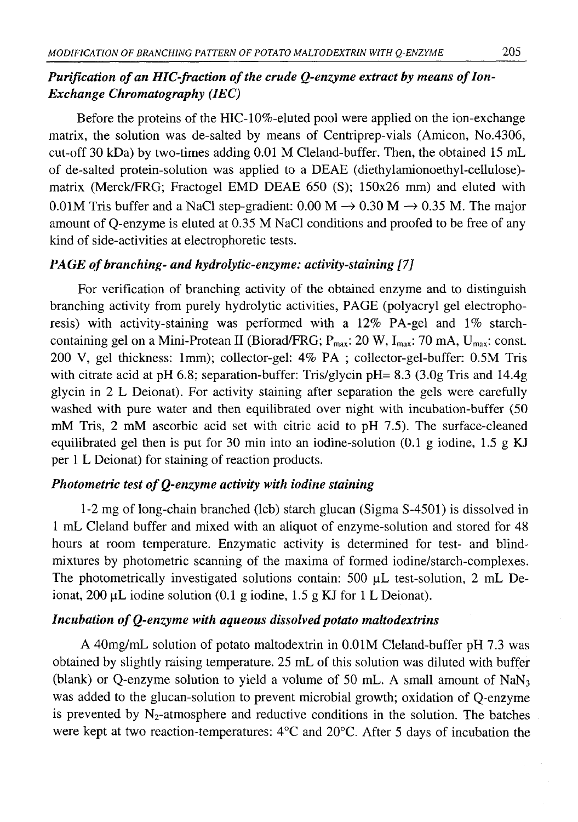## *Purification of an HIC-fraction of the crude Q-enzyme extract by means of Ion-Exchange Chromatography (IEC)*

Before the proteins of the HIC-10%-eluted pool were applied on the ion-exchange matrix, the solution was de-salted by means of Centriprep-vials (Amicon, No.4306, cut-off 30 kDa) by two-times adding 0.01 M Cleland-buffer. Then, the obtained 15 mL of de-salted protein-solution was applied to a DEAE (diethylamionoethyl-cellulose) matrix (Merck/FRG; Fractogel EMD DEAE 650 (S); 150x26 mm) and eluted with 0.01M Tris buffer and a NaCl step-gradient: 0.00 M  $\rightarrow$  0.30 M  $\rightarrow$  0.35 M. The major amount of Q-enzyme is eluted at 0.35 M NaCl conditions and proofed to be free of any kind of side-activities at electrophoretic tests.

## *PAGE of branching- and hydrolytic-enzyme: activity-staining [7]*

For verification of branching activity of the obtained enzyme and to distinguish branching activity from purely hydrolytic activities, PAGE (polyacryl gel electrophoresis) with activity-staining was performed with a 12% PA-gel and 1% starchcontaining gel on a Mini-Protean II (Biorad/FRG;  $P_{max}$ : 20 W, I<sub>max</sub>: 70 mA, U<sub>max</sub>: const. 200 V, gel thickness: 1mm); collector-gel: 4% PA ; collector-gel-buffer: 0.5M Tris with citrate acid at pH 6.8; separation-buffer: Tris/glycin pH=  $8.3$  (3.0g Tris and 14.4g glycin in 2 L Deionat). For activity staining after separation the gels were carefully washed with pure water and then equilibrated over night with incubation-buffer (50 mM Tris, 2 mM ascorbic acid set with citric acid to pH 7.5). The surface-cleaned equilibrated gel then is put for 30 min into an iodine-solution  $(0.1 \text{ g}$  iodine, 1.5 g KJ per 1 L Deionat) for staining of reaction products.

## *Photometric test of O-enzyme activity with iodine staining*

1-2 mg of long-chain branched (lcb) starch glucan (Sigma S-4501) is dissolved in 1 mL Cleland buffer and mixed with an aliquot of enzyme-solution and stored for 48 hours at room temperature. Enzymatic activity is determined for test- and blindmixtures by photometric scanning of the maxima of formed iodine/starch-complexes. The photometrically investigated solutions contain:  $500 \mu L$  test-solution, 2 mL Deionat, 200 μΕ iodine solution (0.1 g iodine, 1.5 g KJ for 1 L Deionat).

### *Incubation of Q-enzyme with aqueous dissolved potato maltodextrins*

A 40mg/mL solution of potato maltodextrin in 0.01M Cleland-buffer pH 7.3 was obtained by slightly raising temperature. 25 mL of this solution was diluted with buffer (blank) or Q-enzyme solution to yield a volume of 50 mL. A small amount of NaN3 was added to the glucan-solution to prevent microbial growth; oxidation of Q-enzyme is prevented by  $N_2$ -atmosphere and reductive conditions in the solution. The batches were kept at two reaction-temperatures: 4°C and 20°C. After 5 days of incubation the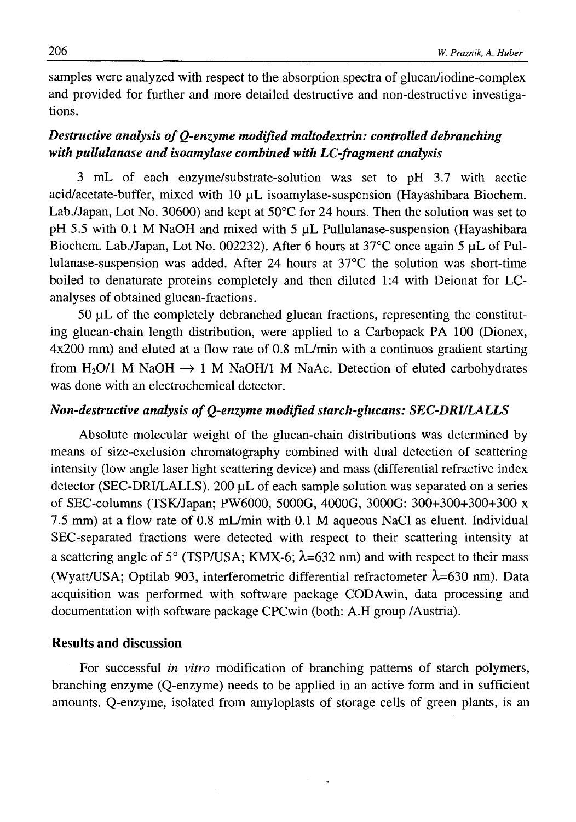samples were analyzed with respect to the absorption spectra of glucan/iodine-complex and provided for further and more detailed destructive and non-destructive investigations.

## *Destructive analysis of Q-enzyme modified maltodextrin: controlled debranching with pullulanase and isoamylase combined with LC-fragment analysis*

3 mL of each enzyme/substrate-solution was set to pH 3.7 with acetic acid/acetate-buffer, mixed with 10 µL isoamylase-suspension (Hayashibara Biochem. Lab./Japan, Lot No. 30600) and kept at 50°C for 24 hours. Then the solution was set to pH 5.5 with 0.1 M NaOH and mixed with 5  $\mu$ L Pullulanase-suspension (Hayashibara Biochem. Lab./Japan, Lot No. 002232). After 6 hours at  $37^{\circ}$ C once again 5 µL of Pullulanase-suspension was added. After 24 hours at 37°C the solution was short-time boiled to denaturate proteins completely and then diluted 1:4 with Deionat for LCanalyses of obtained glucan-fractions.

 $50 \mu L$  of the completely debranched glucan fractions, representing the constituting glucan-chain length distribution, were applied to a Carbopack PA 100 (Dionex, 4x200 mm) and eluted at a flow rate of 0.8 mL/min with a continuos gradient starting from H<sub>2</sub>O/1 M NaOH  $\rightarrow$  1 M NaOH/1 M NaAc. Detection of eluted carbohydrates was done with an electrochemical detector.

## *Non-destructive analysis of Q-enzyme modified starch-glucans: SEC-DRI/LALLS*

Absolute molecular weight of the glucan-chain distributions was determined by means of size-exclusion chromatography combined with dual detection of scattering intensity (low angle laser light scattering device) and mass (differential refractive index detector (SEC-DRI/LALLS). 200 µL of each sample solution was separated on a series of SEC-columns (TSK/Japan; PW6000, 5000G, 4000G, 3000G: 300+300+300+300 x 7.5 mm) at a flow rate of 0.8 mL/min with 0.1 M aqueous NaCl as eluent. Individual SEC-separated fractions were detected with respect to their scattering intensity at a scattering angle of 5° (TSP/USA; KMX-6;  $\lambda$ =632 nm) and with respect to their mass (Wyatt/USA; Optilab 903, interferometric differential refractometer  $\lambda$ =630 nm). Data acquisition was performed with software package CODAwin, data processing and documentation with software package CPCwin (both: A.H group /Austria).

## **Results and discussion**

For successful *in vitro* modification of branching patterns of starch polymers, branching enzyme (Q-enzyme) needs to be applied in an active form and in sufficient amounts. Q-enzyme, isolated from amyloplasts of storage cells of green plants, is an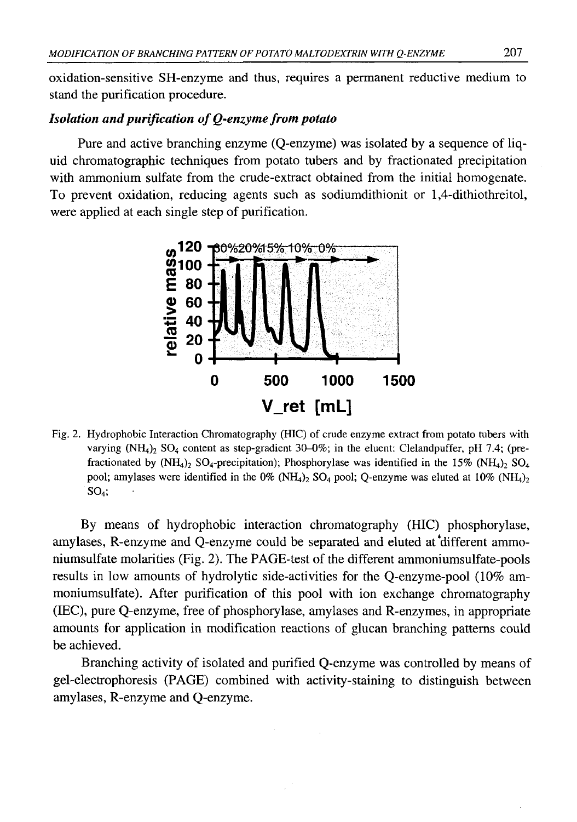oxidation-sensitive SH-enzyme and thus, requires a permanent reductive medium to stand the purification procedure.

## *Isolation and purification of Q-enzyme from potato*

Pure and active branching enzyme (Q-enzyme) was isolated by a sequence of liquid chromatographic techniques from potato tubers and by fractionated precipitation with ammonium sulfate from the crude-extract obtained from the initial homogenate. To prevent oxidation, reducing agents such as sodiumdithionit or 1,4-dithiothreitol, were applied at each single step of purification.



Fig. 2. Hydrophobic Interaction Chromatography (HIC) of crude enzyme extract from potato tubers with varying  $(NH_4)$ <sub>2</sub> SO<sub>4</sub> content as step-gradient 30-0%; in the eluent: Clelandpuffer, pH 7.4; (prefractionated by (NH<sub>4</sub>)<sub>2</sub> SO<sub>4</sub>-precipitation); Phosphorylase was identified in the 15% (NH<sub>4</sub>)<sub>2</sub> SO<sub>4</sub> pool; amylases were identified in the  $0\%$  (NH<sub>4</sub>)<sub>2</sub> SO<sub>4</sub> pool; Q-enzyme was eluted at  $10\%$  (NH<sub>4</sub>)<sub>2</sub>  $SO<sub>4</sub>$ ;

By means of hydrophobic interaction chromatography (HIC) phosphorylase, amylases, R-enzyme and Q-enzyme could be separated and eluted at different ammoniumsulfate molarities (Fig. 2). The PAGE-test of the different ammoniumsulfate-pools results in low amounts of hydrolytic side-activities for the Q-enzyme-pool (10% ammoniumsulfate). After purification of this pool with ion exchange chromatography (IEC), pure Q-enzyme, free of phosphorylase, amylases and R-enzymes, in appropriate amounts for application in modification reactions of glucan branching patterns could be achieved.

Branching activity of isolated and purified Q-enzyme was controlled by means of gel-electrophoresis (PAGE) combined with activity-staining to distinguish between amylases, R-enzyme and Q-enzyme.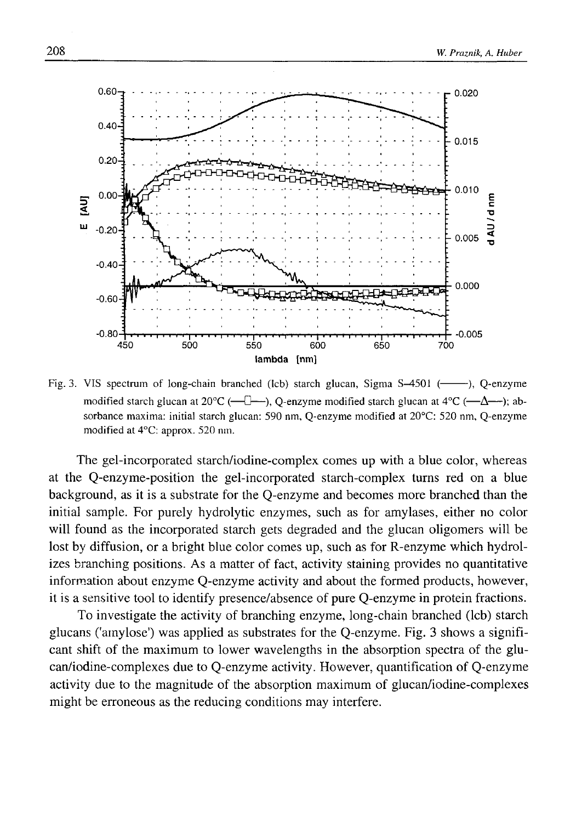

Fig. 3. VIS spectrum of long-chain branched (lcb) starch glucan, Sigma  $S-4501$  (-----), Q-enzyme modified starch glucan at  $20^{\circ}\text{C}$  (— $\Box$ ), O-enzyme modified starch glucan at  $4^{\circ}\text{C}$  (— $\Delta$ — $\rightarrow$ ); absorbance maxima: initial starch glucan: 590 nm, Q-enzyme modified at 20°C: 520 nm, Q-enzyme modified at 4°C: approx. 520 nm.

The gel-incorporated starch/iodine-complex comes up with a blue color, whereas at the Q-enzyme-position the gel-incorporated starch-complex turns red on a blue background, as it is a substrate for the Q-enzyme and becomes more branched than the initial sample. For purely hydrolytic enzymes, such as for amylases, either no color will found as the incorporated starch gets degraded and the glucan oligomers will be lost by diffusion, or a bright blue color comes up, such as for R-enzyme which hydrolizes branching positions. As a matter of fact, activity staining provides no quantitative information about enzyme Q-enzyme activity and about the formed products, however, it is a sensitive tool to identify presence/absence of pure Q-enzyme in protein fractions.

To investigate the activity of branching enzyme, long-chain branched (lcb) starch glucans ('amylose') was applied as substrates for the Q-enzyme. Fig. 3 shows a significant shift of the maximum to lower wavelengths in the absorption spectra of the glucan/iodine-complexes due to Q-enzyme activity. However, quantification of Q-enzyme activity due to the magnitude of the absorption maximum of glucan/iodine-complexes might be erroneous as the reducing conditions may interfere.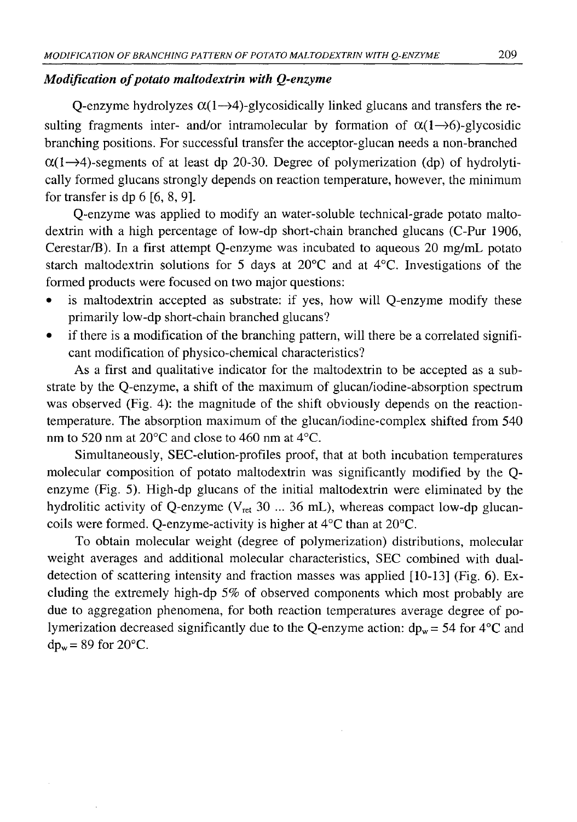## *Modification of potato maltodextrin with Q-enzyme*

Q-enzyme hydrolyzes  $\alpha(1\rightarrow4)$ -glycosidically linked glucans and transfers the resulting fragments inter- and/or intramolecular by formation of  $\alpha(1\rightarrow6)$ -glycosidic branching positions. For successful transfer the acceptor-glucan needs a non-branched  $\alpha(1\rightarrow4)$ -segments of at least dp 20-30. Degree of polymerization (dp) of hydrolytically formed glucans strongly depends on reaction temperature, however, the minimum for transfer is dp 6 [6, 8, 9].

Q-enzyme was applied to modify an water-soluble technical-grade potato maltodextrin with a high percentage of low-dp short-chain branched glucans (C-Pur 1906, Cerestar/B). In a first attempt Q-enzyme was incubated to aqueous 20 mg/mL potato starch maltodextrin solutions for 5 days at 20°C and at 4°C. Investigations of the formed products were focused on two major questions:

- is maltodextrin accepted as substrate: if yes, how will Q-enzyme modify these primarily low-dp short-chain branched glucans?
- if there is a modification of the branching pattern, will there be a correlated significant modification of physico-chemical characteristics?

As a first and qualitative indicator for the maltodextrin to be accepted as a substrate by the Q-enzyme, a shift of the maximum of glucan/iodine-absorption spectrum was observed (Fig. 4): the magnitude of the shift obviously depends on the reactiontemperature. The absorption maximum of the glucan/iodine-complex shifted from 540 nm to 520 nm at 20°C and close to 460 nm at 4°C.

Simultaneously, SEC-elution-profiles proof, that at both incubation temperatures molecular composition of potato maltodextrin was significantly modified by the Qenzyme (Fig. 5). High-dp glucans of the initial maltodextrin were eliminated by the hydrolitic activity of Q-enzyme (V<sub>ret</sub> 30 ... 36 mL), whereas compact low-dp glucancoils were formed. Q-enzyme-activity is higher at 4°C than at 20°C.

To obtain molecular weight (degree of polymerization) distributions, molecular weight averages and additional molecular characteristics, SEC combined with dualdetection of scattering intensity and fraction masses was applied [10-13] (Fig. 6). Excluding the extremely high-dp *5%* of observed components which most probably are due to aggregation phenomena, for both reaction temperatures average degree of polymerization decreased significantly due to the Q-enzyme action:  $dp_w = 54$  for  $4^{\circ}C$  and  $dp_w = 89$  for  $20^{\circ}$ C.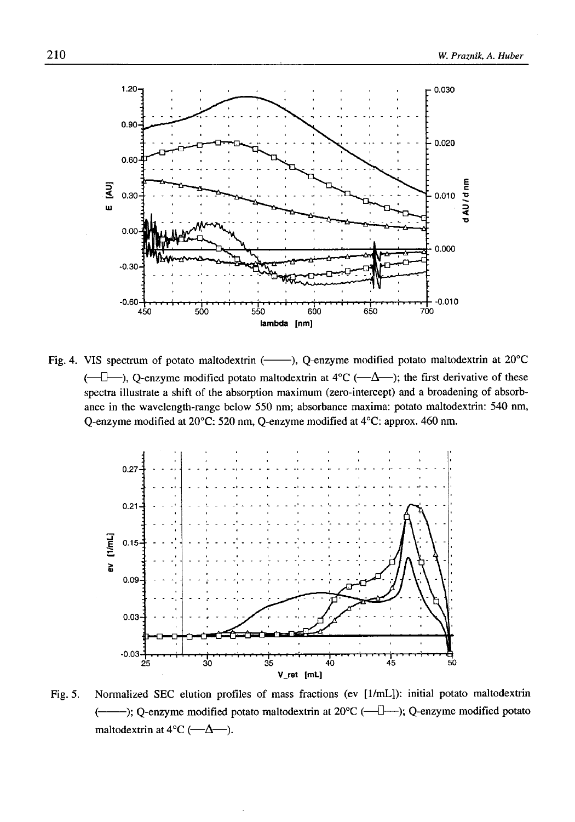

Fig. 4. VIS spectrum of potato maltodextrin (----), Q-enzyme modified potato maltodextrin at 20°C  $(-\Box -)$ , Q-enzyme modified potato maltodextrin at  $4^{\circ}C$  ( $-\Delta$ ); the first derivative of these spectra illustrate a shift of the absorption maximum (zero-intercept) and a broadening of absorbance in the wavelength-range below 550 nm; absorbance maxima: potato maltodextrin: 540 nm, Q-enzyme modified at 20°C: 520 nm, Q-enzyme modified at 4°C: approx. 460 nm.



Fig. 5. Normalized SEC elution profiles of mass fractions (ev [1/mL]): initial potato maltodextrin (--------); Q-enzyme modified potato maltodextrin at 20°C (— 0— ); Q-enzyme modified potato maltodextrin at  $4^{\circ}C$  ( $-\Delta$ ).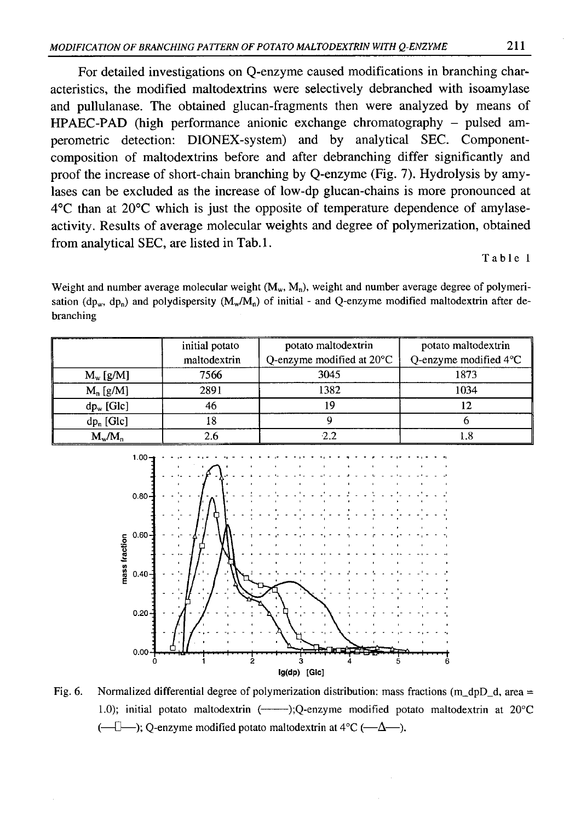For detailed investigations on Q-enzyme caused modifications in branching characteristics, the modified maltodextrins were selectively debranched with isoamylase and pullulanase. The obtained glucan-fragments then were analyzed by means of HPAEC-PAD (high performance anionic exchange chromatography - pulsed amperometric detection: DIONEX-system) and by analytical SEC. Componentcomposition of maltodextrins before and after debranching differ significantly and proof the increase of short-chain branching by Q-enzyme (Fig. 7). Hydrolysis by amylases can be excluded as the increase of low-dp glucan-chains is more pronounced at 4°C than at 20°C which is just the opposite of temperature dependence of amylaseactivity. Results of average molecular weights and degree of polymerization, obtained from analytical SEC, are listed in Tab.l.

#### Table 1

Weight and number average molecular weight  $(M_w, M_n)$ , weight and number average degree of polymerisation ( $dp_w$ ,  $dp_n$ ) and polydispersity ( $M_w/M_n$ ) of initial - and Q-enzyme modified maltodextrin after debranching

|               | initial potato | potato maltodextrin<br>potato maltodextrin |                                 |
|---------------|----------------|--------------------------------------------|---------------------------------|
|               | maltodextrin   | Q-enzyme modified at $20^{\circ}$ C        | Q-enzyme modified $4^{\circ}$ C |
| $M_w$ [g/M]   | 7566           | 3045                                       | 1873                            |
| $M_n$ [g/M]   | 2891           | 1382                                       | 1034                            |
| $dp_w$ [Glc]  | 46             |                                            | 12                              |
| $dp_n$ [Glc]  | 18             |                                            |                                 |
| $M_{w}/M_{n}$ | 2.6            |                                            | 1.8                             |



Fig. 6. Normalized differential degree of polymerization distribution: mass fractions (m\_dpD\_d, area = 1.0); initial potato maltodextrin (------- );Q-enzyme modified potato maltodextrin at 20°C  $(-1)$ ; Q-enzyme modified potato maltodextrin at 4°C ( $-\Delta$ ).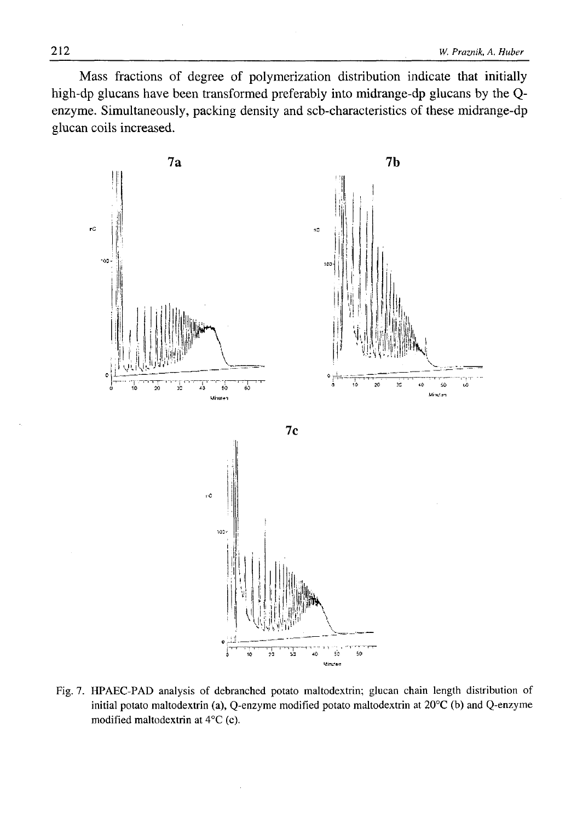Mass fractions of degree of polymerization distribution indicate that initially high-dp glucans have been transformed preferably into midrange-dp glucans by the Qenzyme. Simultaneously, packing density and scb-characteristics of these midrange-dp glucan coils increased.



Fig. 7. HPAEC-PAD analysis of debranched potato maltodextrin; glucan chain length distribution of initial potato maltodextrin (a), Q-enzyme modified potato maltodextrin at 20°C (b) and Q-enzyme modified maltodextrin at 4°C (c).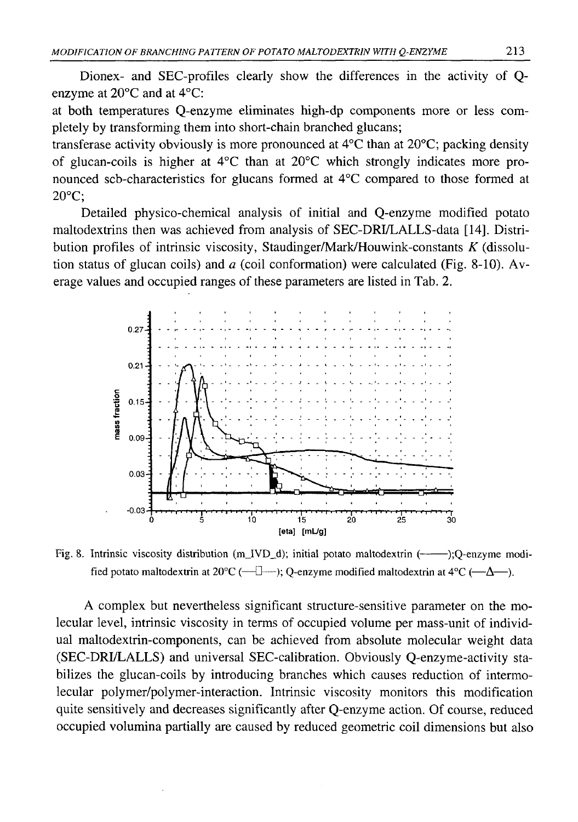Dionex- and SEC-profiles clearly show the differences in the activity of Qenzyme at 20°C and at 4°C:

at both temperatures Q-enzyme eliminates high-dp components more or less completely by transforming them into short-chain branched glucans;

transferase activity obviously is more pronounced at 4°C than at 20°C; packing density of glucan-coils is higher at 4°C than at 20°C which strongly indicates more pronounced scb-characteristics for glucans formed at 4°C compared to those formed at 20°C;

Detailed physico-chemical analysis of initial and Q-enzyme modified potato maltodextrins then was achieved from analysis of SEC-DRI/LALLS-data [14]. Distribution profiles of intrinsic viscosity, Staudinger/Mark/Houwink-constants *K* (dissolution status of glucan coils) and *a* (coil conformation) were calculated (Fig. 8-10). Average values and occupied ranges of these parameters are listed in Tab. 2.



Fig. 8. Intrinsic viscosity distribution (m\_IVD\_d); initial potato maltodextrin (-----------------);Q-enzyme modified potato maltodextrin at 20°C (— □— ); Q-enzyme modified maltodextrin at 4°C (— Δ— ).

A complex but nevertheless significant structure-sensitive parameter on the molecular level, intrinsic viscosity in terms of occupied volume per mass-unit of individual maltodextrin-components, can be achieved from absolute molecular weight data (SEC-DRI/LALLS) and universal SEC-calibration. Obviously Q-enzyme-activity stabilizes the glucan-coils by introducing branches which causes reduction of intermolecular polymer/polymer-interaction. Intrinsic viscosity monitors this modification quite sensitively and decreases significantly after Q-enzyme action. Of course, reduced occupied volumina partially are caused by reduced geometric coil dimensions but also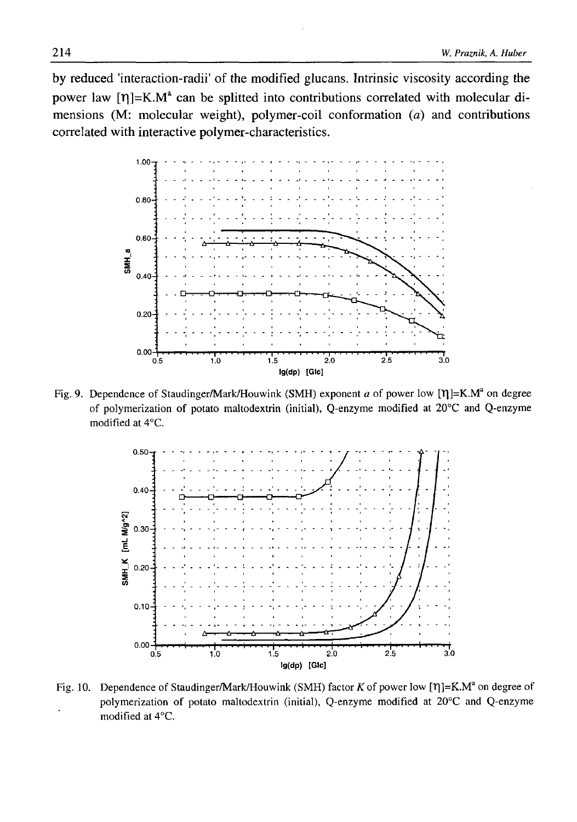by reduced 'interaction-radiľ of the modified glucans. Intrinsic viscosity according the power law  $[\eta]=K.M^a$  can be splitted into contributions correlated with molecular dimensions (M: molecular weight), polymer-coil conformation *(a)* and contributions correlated with interactive polymer-characteristics.



Fig. 9. Dependence of Staudinger/Mark/Houwink (SMH) exponent *a* of power low [ $\eta$ ]=K.M<sup>a</sup> on degree of polymerization of potato maltodextrin (initial), Q-enzyme modified at 20°C and Q-enzyme modified at 4°C.



Fig. 10. Dependence of Staudinger/Mark/Houwink (SMH) factor *K* of power low [ $\eta$ ]=K.M<sup>a</sup> on degree of polymerization of potato maltodextrin (initial), Q-enzyme modified at 20°C and Q-enzyme modified at 4°C.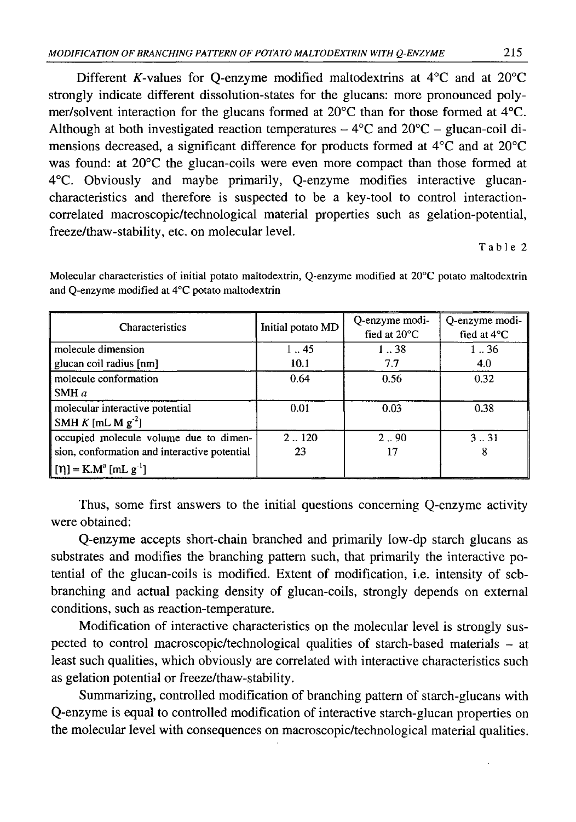Different K-values for Q-enzyme modified maltodextrins at  $4^{\circ}$ C and at  $20^{\circ}$ C strongly indicate different dissolution-states for the glucans: more pronounced polymer/solvent interaction for the glucans formed at 20°C than for those formed at 4°C. Although at both investigated reaction temperatures  $-4^{\circ}$ C and  $20^{\circ}$ C - glucan-coil dimensions decreased, a significant difference for products formed at 4°C and at 20°C was found: at 20°C the glucan-coils were even more compact than those formed at 4°C. Obviously and maybe primarily, Q-enzyme modifies interactive glucancharacteristics and therefore is suspected to be a key-tool to control interactioncorrelated macroscopic/technological material properties such as gelation-potential, freeze/thaw-stability, etc. on molecular level.

Table 2

| Characteristics                                                                                                               | Initial potato MD | Q-enzyme modi-<br>fied at $20^{\circ}$ C | Q-enzyme modi-<br>fied at $4^{\circ}$ C |
|-------------------------------------------------------------------------------------------------------------------------------|-------------------|------------------------------------------|-----------------------------------------|
| molecule dimension                                                                                                            | 145               | 138                                      | 136                                     |
| glucan coil radius [nm]                                                                                                       | 10.1              | 7.7                                      | 4.0                                     |
| molecule conformation<br>SMH $a$                                                                                              | 0.64              | 0.56                                     | 0.32                                    |
| molecular interactive potential<br>SMH $K$ [mL M $g-2$ ]                                                                      | 0.01              | 0.03                                     | 0.38                                    |
| occupied molecule volume due to dimen-<br>sion, conformation and interactive potential<br>$[\eta] = K.M^{\alpha} [mL g^{-1}]$ | 2.120<br>23       | 2.90<br>17                               | 331<br>8                                |

Molecular characteristics of initial potato maltodextrin, Q-enzyme modified at 20°C potato maltodextrin and Q-enzyme modified at 4°C potato maltodextrin

Thus, some first answers to the initial questions concerning Q-enzyme activity were obtained:

Q-enzyme accepts short-chain branched and primarily low-dp starch glucans as substrates and modifies the branching pattern such, that primarily the interactive potential of the glucan-coils is modified. Extent of modification, i.e. intensity of scbbranching and actual packing density of glucan-coils, strongly depends on external conditions, such as reaction-temperature.

Modification of interactive characteristics on the molecular level is strongly suspected to control macroscopic/technological qualities of starch-based materials - at least such qualities, which obviously are correlated with interactive characteristics such as gelation potential or freeze/thaw-stability.

Summarizing, controlled modification of branching pattern of starch-glucans with Q-enzyme is equal to controlled modification of interactive starch-glucan properties on the molecular level with consequences on macroscopic/technological material qualities.